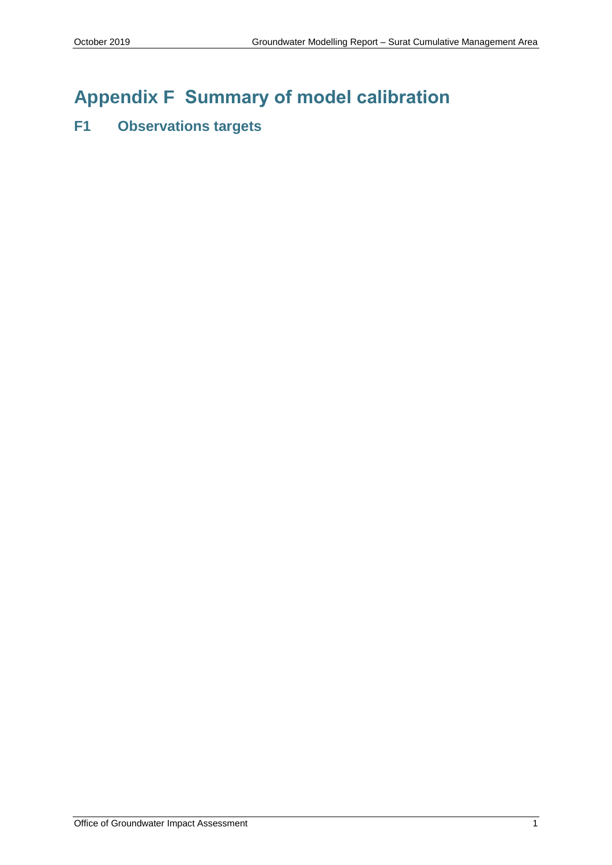# **Appendix F Summary of model calibration**

## **F1 Observations targets**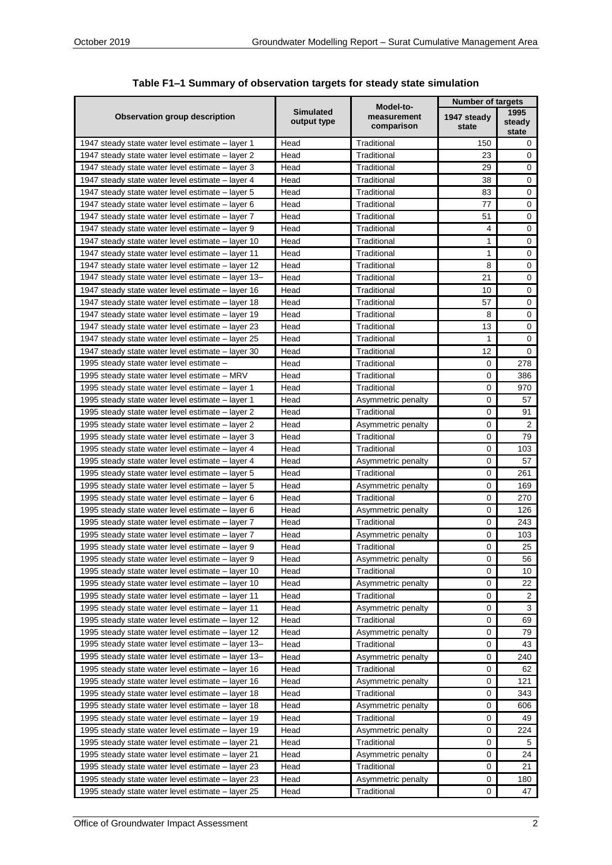|                                                                                                         |                                                                           |                                   | <b>Number of targets</b> |                         |
|---------------------------------------------------------------------------------------------------------|---------------------------------------------------------------------------|-----------------------------------|--------------------------|-------------------------|
| Observation group description                                                                           | Model-to-<br><b>Simulated</b><br>measurement<br>output type<br>comparison |                                   | 1947 steady<br>state     | 1995<br>steady<br>state |
| 1947 steady state water level estimate - layer 1                                                        | Head                                                                      | Traditional                       | 150                      | 0                       |
| 1947 steady state water level estimate – layer 2                                                        | Head                                                                      | Traditional                       | 23                       | 0                       |
| 1947 steady state water level estimate – layer 3                                                        | Head                                                                      | Traditional                       | 29                       | 0                       |
| 1947 steady state water level estimate – layer 4                                                        | Head                                                                      | Traditional                       | 38                       | $\mathbf 0$             |
| 1947 steady state water level estimate - layer 5                                                        | Head                                                                      | Traditional                       | 83                       | 0                       |
| 1947 steady state water level estimate – layer 6                                                        | Head                                                                      | Traditional                       | 77                       | 0                       |
| 1947 steady state water level estimate - layer 7                                                        | Head                                                                      | Traditional                       | 51                       | $\mathbf 0$             |
| 1947 steady state water level estimate – layer 9                                                        | Head                                                                      | Traditional                       | 4                        | $\mathbf 0$             |
| 1947 steady state water level estimate – layer 10                                                       | Head                                                                      | Traditional                       | 1                        | 0                       |
| 1947 steady state water level estimate – layer 11                                                       | Head                                                                      | Traditional                       | 1                        | $\mathsf 0$             |
| 1947 steady state water level estimate – layer 12                                                       | Head                                                                      | Traditional                       | 8                        | $\pmb{0}$               |
| 1947 steady state water level estimate – layer 13–                                                      | Head                                                                      | Traditional                       | 21                       | 0                       |
| 1947 steady state water level estimate – layer 16                                                       | Head                                                                      | Traditional                       | 10                       | $\pmb{0}$               |
| 1947 steady state water level estimate – layer 18                                                       | Head                                                                      | Traditional                       | 57                       | $\mathsf 0$             |
| 1947 steady state water level estimate – layer 19                                                       | Head                                                                      | Traditional                       | 8                        | $\mathsf 0$             |
| 1947 steady state water level estimate – layer 23                                                       | Head                                                                      | Traditional                       | 13                       | $\mathsf 0$             |
| 1947 steady state water level estimate – layer 25                                                       | Head                                                                      | Traditional                       | 1                        | 0                       |
| 1947 steady state water level estimate – layer 30                                                       | Head                                                                      | Traditional                       | 12                       | 0                       |
| 1995 steady state water level estimate -                                                                | Head                                                                      | Traditional                       | 0                        | 278                     |
| 1995 steady state water level estimate – MRV                                                            | Head                                                                      | Traditional                       | 0                        | 386                     |
| 1995 steady state water level estimate – layer 1                                                        | Head                                                                      | Traditional                       | 0                        | 970                     |
| 1995 steady state water level estimate – layer 1                                                        | Head                                                                      | Asymmetric penalty                | 0                        | 57                      |
| 1995 steady state water level estimate – layer 2                                                        | Head                                                                      | Traditional                       | 0                        | 91                      |
| 1995 steady state water level estimate - layer 2                                                        | Head                                                                      | Asymmetric penalty                | 0                        | $\overline{2}$          |
| 1995 steady state water level estimate - layer 3                                                        | Head                                                                      | Traditional                       | 0                        | 79                      |
| 1995 steady state water level estimate – layer 4                                                        | Head                                                                      | Traditional                       | 0                        | 103                     |
| 1995 steady state water level estimate - layer 4                                                        | Head                                                                      | Asymmetric penalty                | 0                        | 57                      |
| 1995 steady state water level estimate - layer 5                                                        | Head                                                                      | Traditional                       | 0                        | 261                     |
| 1995 steady state water level estimate – layer 5                                                        | Head                                                                      | Asymmetric penalty                | 0                        | 169                     |
| 1995 steady state water level estimate – layer 6                                                        | Head                                                                      | Traditional                       | 0                        | 270                     |
| 1995 steady state water level estimate – layer 6                                                        | Head                                                                      | Asymmetric penalty                | $\mathbf 0$              | 126                     |
| 1995 steady state water level estimate – layer 7                                                        | Head                                                                      | Traditional                       | 0                        | 243                     |
| 1995 steady state water level estimate – layer 7                                                        | Head                                                                      | Asymmetric penalty                | 0                        | 103                     |
| 1995 steady state water level estimate – layer 9                                                        | Head                                                                      | Traditional                       | 0                        | 25                      |
| 1995 steady state water level estimate – layer 9                                                        | Head                                                                      | Asymmetric penalty                | 0                        | 56                      |
| 1995 steady state water level estimate – layer 10                                                       | Head                                                                      | Traditional                       | 0                        | 10                      |
| 1995 steady state water level estimate – layer 10                                                       | Head                                                                      | Asymmetric penalty                | 0                        | 22                      |
| 1995 steady state water level estimate – layer 11                                                       | Head                                                                      | Traditional                       | 0                        | 2                       |
| 1995 steady state water level estimate - layer 11                                                       | Head<br>Head                                                              | Asymmetric penalty<br>Traditional | 0                        | 3<br>69                 |
| 1995 steady state water level estimate – layer 12                                                       |                                                                           | Asymmetric penalty                | 0<br>0                   |                         |
| 1995 steady state water level estimate - layer 12<br>1995 steady state water level estimate - layer 13- | Head<br>Head                                                              | Traditional                       | 0                        | 79<br>43                |
| 1995 steady state water level estimate - layer 13-                                                      | Head                                                                      | Asymmetric penalty                | 0                        | 240                     |
| 1995 steady state water level estimate – layer 16                                                       | Head                                                                      | Traditional                       | 0                        | 62                      |
| 1995 steady state water level estimate – layer 16                                                       | Head                                                                      | Asymmetric penalty                | 0                        | 121                     |
|                                                                                                         | Head                                                                      | Traditional                       | 0                        | 343                     |
| 1995 steady state water level estimate – layer 18<br>1995 steady state water level estimate - layer 18  | Head                                                                      | Asymmetric penalty                | 0                        | 606                     |
| 1995 steady state water level estimate – layer 19                                                       | Head                                                                      | Traditional                       | 0                        | 49                      |
| 1995 steady state water level estimate – layer 19                                                       | Head                                                                      | Asymmetric penalty                | 0                        | 224                     |
| 1995 steady state water level estimate - layer 21                                                       | Head                                                                      | Traditional                       | 0                        | 5                       |
| 1995 steady state water level estimate - layer 21                                                       | Head                                                                      | Asymmetric penalty                | 0                        | 24                      |
| 1995 steady state water level estimate - layer 23                                                       | Head                                                                      | Traditional                       | 0                        | 21                      |
| 1995 steady state water level estimate - layer 23                                                       | Head                                                                      | Asymmetric penalty                | 0                        | 180                     |
| 1995 steady state water level estimate - layer 25                                                       | Head                                                                      | Traditional                       | 0                        | 47                      |

| Table F1-1 Summary of observation targets for steady state simulation |  |  |  |
|-----------------------------------------------------------------------|--|--|--|
|-----------------------------------------------------------------------|--|--|--|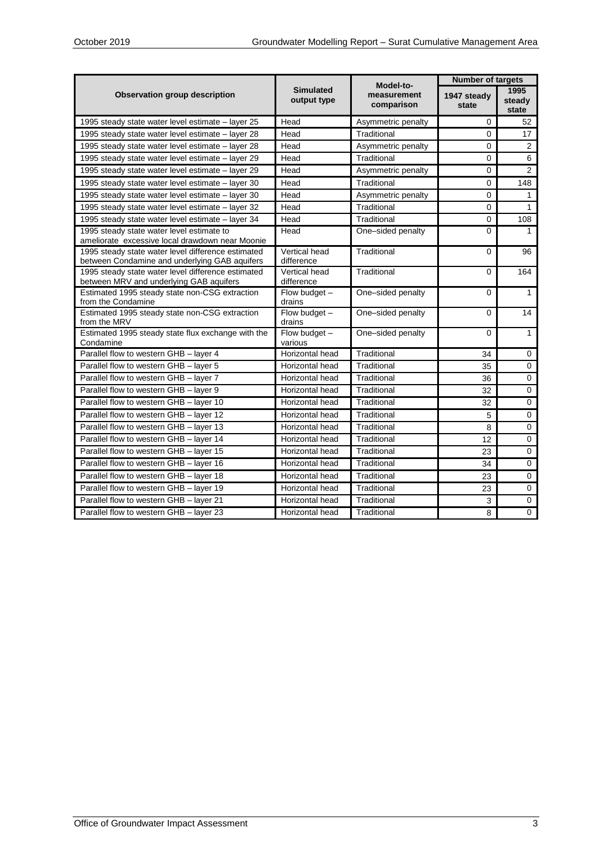|                                                                                                     |                                 | Model-to-                 | <b>Number of targets</b> |                         |
|-----------------------------------------------------------------------------------------------------|---------------------------------|---------------------------|--------------------------|-------------------------|
| <b>Observation group description</b>                                                                | <b>Simulated</b><br>output type | measurement<br>comparison | 1947 steady<br>state     | 1995<br>steady<br>state |
| 1995 steady state water level estimate – layer 25                                                   | Head                            | Asymmetric penalty        | 0                        | 52                      |
| 1995 steady state water level estimate - layer 28                                                   | Head                            | Traditional               | $\Omega$                 | 17                      |
| 1995 steady state water level estimate – layer 28                                                   | Head                            | Asymmetric penalty        | $\Omega$                 | 2                       |
| 1995 steady state water level estimate – layer 29                                                   | Head                            | Traditional               | 0                        | 6                       |
| 1995 steady state water level estimate – layer 29                                                   | Head                            | Asymmetric penalty        | $\Omega$                 | 2                       |
| 1995 steady state water level estimate - layer 30                                                   | Head                            | Traditional               | $\mathbf 0$              | 148                     |
| 1995 steady state water level estimate - layer 30                                                   | Head                            | Asymmetric penalty        | $\Omega$                 | 1                       |
| 1995 steady state water level estimate - layer 32                                                   | Head                            | Traditional               | 0                        | 1                       |
| 1995 steady state water level estimate - layer 34                                                   | Head                            | Traditional               | $\Omega$                 | 108                     |
| 1995 steady state water level estimate to<br>ameliorate excessive local drawdown near Moonie        | Head                            | One-sided penalty         | 0                        | 1                       |
| 1995 steady state water level difference estimated<br>between Condamine and underlying GAB aquifers | Vertical head<br>difference     | Traditional               | $\Omega$                 | 96                      |
| 1995 steady state water level difference estimated<br>between MRV and underlying GAB aquifers       | Vertical head<br>difference     | Traditional               | 0                        | 164                     |
| Estimated 1995 steady state non-CSG extraction<br>from the Condamine                                | Flow budget -<br>drains         | One-sided penalty         | 0                        | $\mathbf{1}$            |
| Estimated 1995 steady state non-CSG extraction<br>from the MRV                                      | Flow budget -<br>drains         | One-sided penalty         | 0                        | 14                      |
| Estimated 1995 steady state flux exchange with the<br>Condamine                                     | Flow budget -<br>various        | One-sided penalty         | 0                        | 1                       |
| Parallel flow to western GHB - layer 4                                                              | Horizontal head                 | Traditional               | 34                       | $\mathbf 0$             |
| Parallel flow to western GHB - layer 5                                                              | Horizontal head                 | Traditional               | 35                       | $\Omega$                |
| Parallel flow to western GHB - layer 7                                                              | Horizontal head                 | Traditional               | 36                       | $\mathbf 0$             |
| Parallel flow to western GHB - layer 9                                                              | Horizontal head                 | Traditional               | 32                       | $\mathbf 0$             |
| Parallel flow to western GHB - layer 10                                                             | Horizontal head                 | Traditional               | 32                       | 0                       |
| Parallel flow to western GHB - layer 12                                                             | Horizontal head                 | Traditional               | 5                        | 0                       |
| Parallel flow to western GHB - layer 13                                                             | Horizontal head                 | Traditional               | 8                        | 0                       |
| Parallel flow to western GHB - layer 14                                                             | Horizontal head                 | Traditional               | 12                       | 0                       |
| Parallel flow to western GHB - layer 15                                                             | Horizontal head                 | Traditional               | 23                       | 0                       |
| Parallel flow to western GHB - layer 16                                                             | Horizontal head                 | Traditional               | 34                       | 0                       |
| Parallel flow to western GHB - laver 18                                                             | Horizontal head                 | Traditional               | 23                       | $\Omega$                |
| Parallel flow to western GHB - layer 19                                                             | Horizontal head                 | Traditional               | 23                       | $\Omega$                |
| Parallel flow to western GHB - layer 21                                                             | Horizontal head                 | Traditional               | 3                        | 0                       |
| Parallel flow to western GHB - layer 23                                                             | Horizontal head                 | Traditional               | 8                        | $\Omega$                |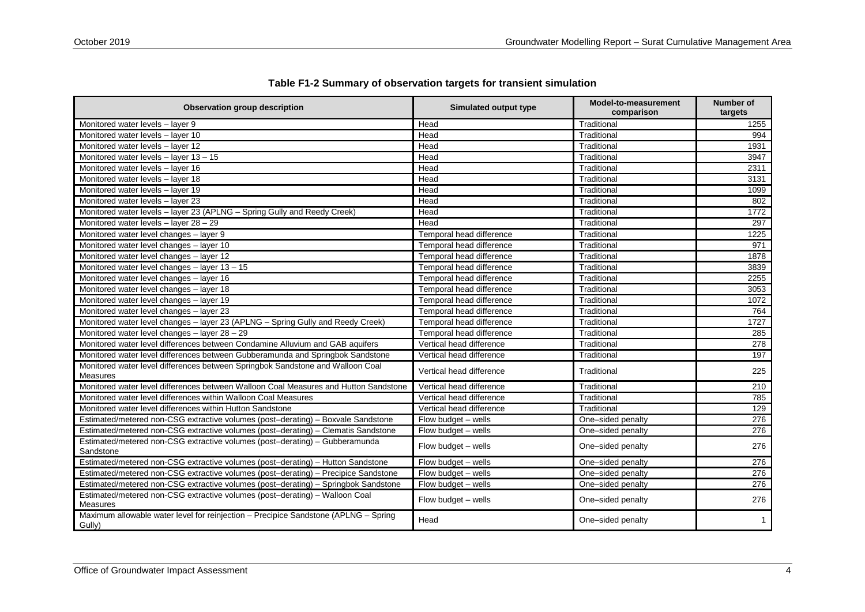| <b>Observation group description</b>                                                              | Simulated output type    | Model-to-measurement<br>comparison | <b>Number of</b><br>targets |
|---------------------------------------------------------------------------------------------------|--------------------------|------------------------------------|-----------------------------|
| Monitored water levels - layer 9                                                                  | Head                     | Traditional                        | 1255                        |
| Monitored water levels - laver 10                                                                 | Head                     | Traditional                        | 994                         |
| Monitored water levels - layer 12                                                                 | Head                     | Traditional                        | 1931                        |
| Monitored water levels - layer 13 - 15                                                            | Head                     | Traditional                        | 3947                        |
| Monitored water levels - layer 16                                                                 | Head                     | Traditional                        | 2311                        |
| Monitored water levels - layer 18                                                                 | Head                     | Traditional                        | 3131                        |
| Monitored water levels - layer 19                                                                 | Head                     | Traditional                        | 1099                        |
| Monitored water levels - layer 23                                                                 | Head                     | Traditional                        | 802                         |
| Monitored water levels - layer 23 (APLNG - Spring Gully and Reedy Creek)                          | Head                     | Traditional                        | 1772                        |
| Monitored water levels $-$ layer 28 $-$ 29                                                        | Head                     | Traditional                        | 297                         |
| Monitored water level changes - layer 9                                                           | Temporal head difference | Traditional                        | 1225                        |
| Monitored water level changes - layer 10                                                          | Temporal head difference | Traditional                        | 971                         |
| Monitored water level changes - layer 12                                                          | Temporal head difference | Traditional                        | 1878                        |
| Monitored water level changes - layer 13 - 15                                                     | Temporal head difference | Traditional                        | 3839                        |
| Monitored water level changes - layer 16                                                          | Temporal head difference | Traditional                        | 2255                        |
| Monitored water level changes - layer 18                                                          | Temporal head difference | Traditional                        | 3053                        |
| Monitored water level changes - layer 19                                                          | Temporal head difference | Traditional                        | 1072                        |
| Monitored water level changes - layer 23                                                          | Temporal head difference | Traditional                        | 764                         |
| Monitored water level changes - layer 23 (APLNG - Spring Gully and Reedy Creek)                   | Temporal head difference | Traditional                        | 1727                        |
| Monitored water level changes - layer 28 - 29                                                     | Temporal head difference | Traditional                        | 285                         |
| Monitored water level differences between Condamine Alluvium and GAB aquifers                     | Vertical head difference | Traditional                        | 278                         |
| Monitored water level differences between Gubberamunda and Springbok Sandstone                    | Vertical head difference | Traditional                        | 197                         |
| Monitored water level differences between Springbok Sandstone and Walloon Coal<br><b>Measures</b> | Vertical head difference | Traditional                        | 225                         |
| Monitored water level differences between Walloon Coal Measures and Hutton Sandstone              | Vertical head difference | Traditional                        | 210                         |
| Monitored water level differences within Walloon Coal Measures                                    | Vertical head difference | Traditional                        | 785                         |
| Monitored water level differences within Hutton Sandstone                                         | Vertical head difference | Traditional                        | 129                         |
| Estimated/metered non-CSG extractive volumes (post-derating) - Boxvale Sandstone                  | Flow budget - wells      | One-sided penalty                  | 276                         |
| Estimated/metered non-CSG extractive volumes (post-derating) - Clematis Sandstone                 | Flow budget - wells      | One-sided penalty                  | 276                         |
| Estimated/metered non-CSG extractive volumes (post-derating) - Gubberamunda<br>Sandstone          | Flow budget - wells      | One-sided penalty                  | 276                         |
| Estimated/metered non-CSG extractive volumes (post-derating) - Hutton Sandstone                   | Flow budget - wells      | One-sided penalty                  | 276                         |
| Estimated/metered non-CSG extractive volumes (post-derating) - Precipice Sandstone                | Flow budget - wells      | One-sided penalty                  | 276                         |
| Estimated/metered non-CSG extractive volumes (post-derating) - Springbok Sandstone                | Flow budget - wells      | One-sided penalty                  | 276                         |
| Estimated/metered non-CSG extractive volumes (post-derating) - Walloon Coal<br><b>Measures</b>    | Flow budget - wells      | One-sided penalty                  | 276                         |
| Maximum allowable water level for reinjection - Precipice Sandstone (APLNG - Spring<br>Gully)     | Head                     | One-sided penalty                  | -1                          |

#### **Table F1-2 Summary of observation targets for transient simulation**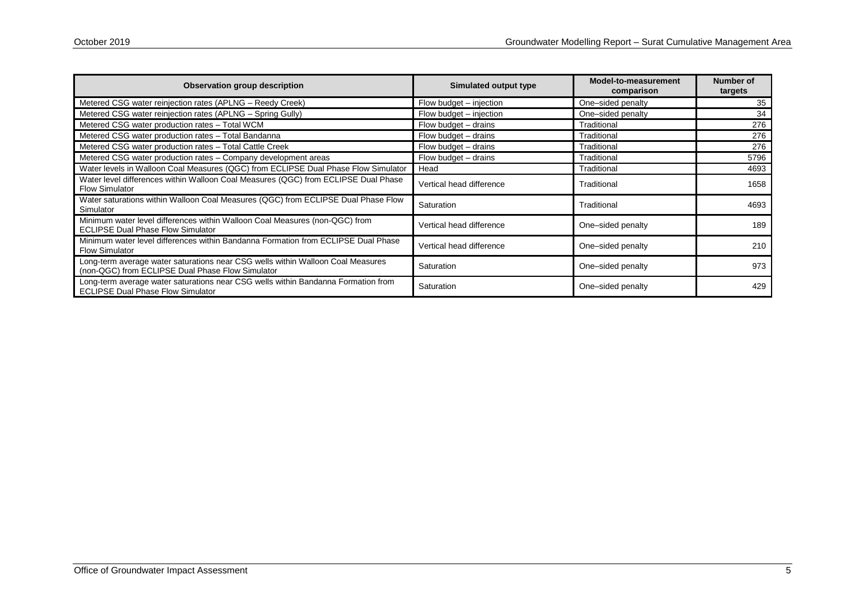| Observation group description                                                                                                       | Simulated output type    | Model-to-measurement<br>comparison | <b>Number of</b><br>targets |
|-------------------------------------------------------------------------------------------------------------------------------------|--------------------------|------------------------------------|-----------------------------|
| Metered CSG water reinjection rates (APLNG – Reedy Creek)                                                                           | Flow budget – injection  | One-sided penalty                  | 35                          |
| Metered CSG water reinjection rates (APLNG – Spring Gully)                                                                          | Flow budget – injection  | One-sided penalty                  | 34                          |
| Metered CSG water production rates - Total WCM                                                                                      | Flow budget - drains     | Traditional                        | 276                         |
| Metered CSG water production rates - Total Bandanna                                                                                 | Flow budget – drains     | Traditional                        | 276                         |
| Metered CSG water production rates - Total Cattle Creek                                                                             | Flow budget – drains     | Traditional                        | 276                         |
| Metered CSG water production rates - Company development areas                                                                      | Flow budget - drains     | Traditional                        | 5796                        |
| Water levels in Walloon Coal Measures (QGC) from ECLIPSE Dual Phase Flow Simulator                                                  | Head                     | Traditional                        | 4693                        |
| Water level differences within Walloon Coal Measures (QGC) from ECLIPSE Dual Phase<br><b>Flow Simulator</b>                         | Vertical head difference | Traditional                        | 1658                        |
| Water saturations within Walloon Coal Measures (QGC) from ECLIPSE Dual Phase Flow<br>Simulator                                      | Saturation               | Traditional                        | 4693                        |
| Minimum water level differences within Walloon Coal Measures (non-QGC) from<br><b>ECLIPSE Dual Phase Flow Simulator</b>             | Vertical head difference | One-sided penalty                  | 189                         |
| Minimum water level differences within Bandanna Formation from ECLIPSE Dual Phase<br><b>Flow Simulator</b>                          | Vertical head difference | One-sided penalty                  | 210                         |
| Long-term average water saturations near CSG wells within Walloon Coal Measures<br>(non-QGC) from ECLIPSE Dual Phase Flow Simulator | Saturation               | One-sided penalty                  | 973                         |
| Long-term average water saturations near CSG wells within Bandanna Formation from<br><b>ECLIPSE Dual Phase Flow Simulator</b>       | Saturation               | One-sided penalty                  | 429                         |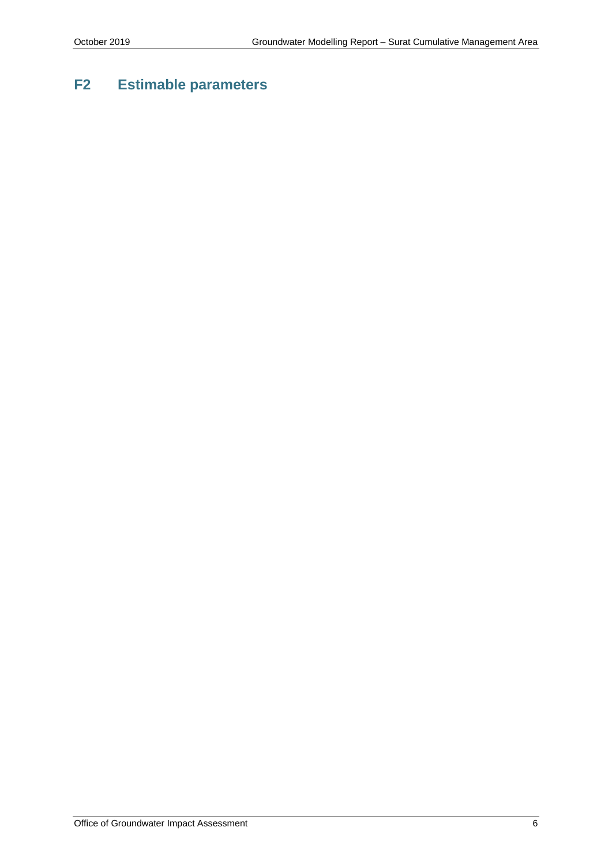### **F2 Estimable parameters**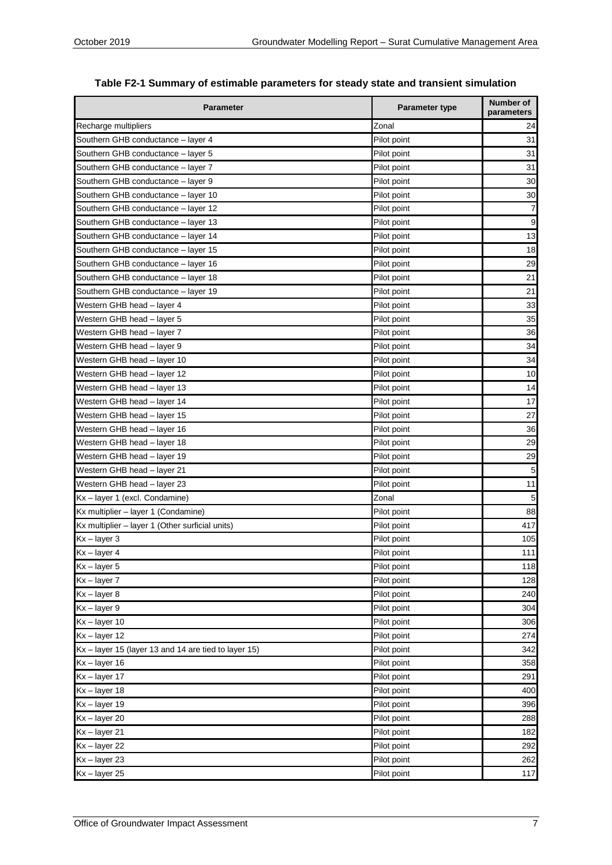| <b>Parameter</b>                                     | Parameter type | <b>Number of</b><br>parameters |
|------------------------------------------------------|----------------|--------------------------------|
| Recharge multipliers                                 | Zonal          | 24                             |
| Southern GHB conductance - layer 4                   | Pilot point    | 31                             |
| Southern GHB conductance - layer 5                   | Pilot point    | 31                             |
| Southern GHB conductance - layer 7                   | Pilot point    | 31                             |
| Southern GHB conductance - layer 9                   | Pilot point    | 30                             |
| Southern GHB conductance - layer 10                  | Pilot point    | 30                             |
| Southern GHB conductance - layer 12                  | Pilot point    | 7                              |
| Southern GHB conductance - layer 13                  | Pilot point    | 9                              |
| Southern GHB conductance - layer 14                  | Pilot point    | 13                             |
| Southern GHB conductance - layer 15                  | Pilot point    | 18                             |
| Southern GHB conductance - layer 16                  | Pilot point    | 29                             |
| Southern GHB conductance - layer 18                  | Pilot point    | 21                             |
| Southern GHB conductance - layer 19                  | Pilot point    | 21                             |
| Western GHB head - layer 4                           | Pilot point    | 33                             |
| Western GHB head - layer 5                           | Pilot point    | 35                             |
| Western GHB head - layer 7                           | Pilot point    | 36                             |
| Western GHB head - layer 9                           | Pilot point    | 34                             |
| Western GHB head - layer 10                          | Pilot point    | 34                             |
| Western GHB head - layer 12                          | Pilot point    | 10                             |
| Western GHB head - layer 13                          | Pilot point    | 14                             |
| Western GHB head - layer 14                          | Pilot point    | 17                             |
| Western GHB head - layer 15                          | Pilot point    | 27                             |
| Western GHB head - layer 16                          | Pilot point    | 36                             |
| Western GHB head - layer 18                          | Pilot point    | 29                             |
| Western GHB head - layer 19                          | Pilot point    | 29                             |
| Western GHB head - layer 21                          | Pilot point    | 5                              |
| Western GHB head - layer 23                          | Pilot point    | 11                             |
| Kx - layer 1 (excl. Condamine)                       | Zonal          | 5                              |
| Kx multiplier - layer 1 (Condamine)                  | Pilot point    | 88                             |
| Kx multiplier - layer 1 (Other surficial units)      | Pilot point    | 417                            |
| $Kx - layer 3$                                       | Pilot point    | 105                            |
| $\overline{Kx}$ – layer 4                            | Pilot point    | 111                            |
| $Kx - layer 5$                                       | Pilot point    | 118                            |
| $Kx - layer 7$                                       | Pilot point    | 128                            |
| $Kx - layer 8$                                       | Pilot point    | 240                            |
| Kx-layer 9                                           | Pilot point    | 304                            |
| $Kx - layer 10$                                      | Pilot point    | 306                            |
| $Kx - layer 12$                                      | Pilot point    | 274                            |
| Kx - layer 15 (layer 13 and 14 are tied to layer 15) | Pilot point    | 342                            |
| $Kx - layer 16$                                      | Pilot point    | 358                            |
| $Kx - layer 17$                                      | Pilot point    | 291                            |
| $Kx - layer 18$                                      | Pilot point    | 400                            |
| $Kx - layer 19$                                      | Pilot point    | 396                            |
| $Kx - layer 20$                                      | Pilot point    | 288                            |
| $Kx - layer 21$                                      | Pilot point    | 182                            |
| $Kx - layer 22$                                      | Pilot point    | 292                            |
| $Kx - layer 23$                                      | Pilot point    | 262                            |
| $Kx - layer 25$                                      | Pilot point    | 117                            |

|  |  | Table F2-1 Summary of estimable parameters for steady state and transient simulation |  |  |  |
|--|--|--------------------------------------------------------------------------------------|--|--|--|
|--|--|--------------------------------------------------------------------------------------|--|--|--|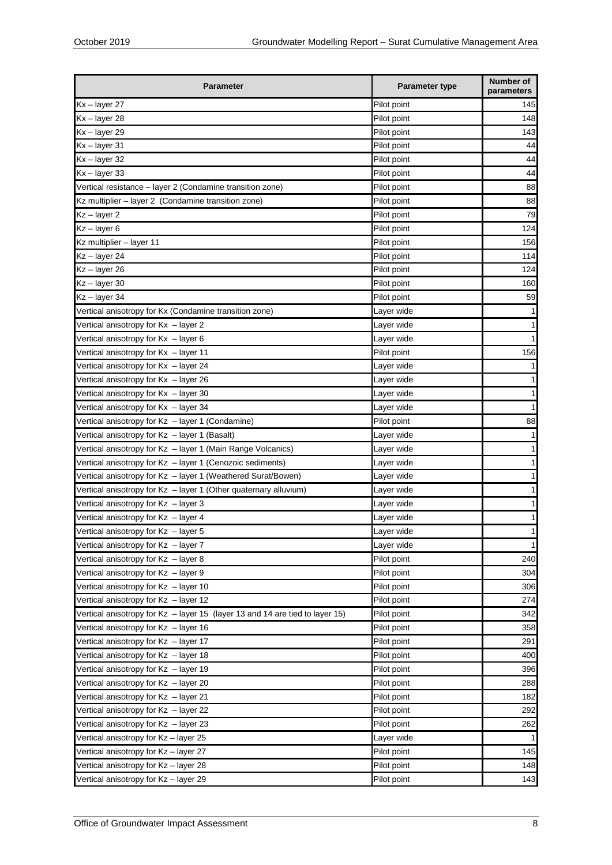| <b>Parameter</b>                                                             | <b>Parameter type</b> | Number of<br>parameters |
|------------------------------------------------------------------------------|-----------------------|-------------------------|
| Kx-layer 27                                                                  | Pilot point           | 145                     |
| $Kx - layer 28$                                                              | Pilot point           | 148                     |
| $Kx - layer 29$                                                              | Pilot point           | 143                     |
| Kx-layer 31                                                                  | Pilot point           | 44                      |
| $Kx - layer 32$                                                              | Pilot point           | 44                      |
| $Kx - layer 33$                                                              | Pilot point           | 44                      |
| Vertical resistance - layer 2 (Condamine transition zone)                    | Pilot point           | 88                      |
| Kz multiplier - layer 2 (Condamine transition zone)                          | Pilot point           | 88                      |
| $Kz - layer 2$                                                               | Pilot point           | 79                      |
| $Kz - layer 6$                                                               | Pilot point           | 124                     |
| Kz multiplier - layer 11                                                     | Pilot point           | 156                     |
| Kz - layer 24                                                                | Pilot point           | 114                     |
| Kz - layer 26                                                                | Pilot point           | 124                     |
| $Kz - layer$ 30                                                              | Pilot point           | 160                     |
| $Kz - layer$ 34                                                              | Pilot point           | 59                      |
| Vertical anisotropy for Kx (Condamine transition zone)                       | Layer wide            |                         |
| Vertical anisotropy for Kx - layer 2                                         | Layer wide            |                         |
| Vertical anisotropy for $Kx - layer 6$                                       | Layer wide            |                         |
| Vertical anisotropy for Kx - layer 11                                        | Pilot point           | 156                     |
| Vertical anisotropy for Kx - layer 24                                        | Layer wide            |                         |
| Vertical anisotropy for Kx - layer 26                                        | Layer wide            |                         |
| Vertical anisotropy for Kx - layer 30                                        | Layer wide            |                         |
| Vertical anisotropy for Kx  – layer 34                                       | Layer wide            |                         |
| Vertical anisotropy for Kz - layer 1 (Condamine)                             | Pilot point           | 88                      |
| Vertical anisotropy for Kz - layer 1 (Basalt)                                | Layer wide            |                         |
|                                                                              |                       |                         |
| Vertical anisotropy for Kz - layer 1 (Main Range Volcanics)                  | Layer wide            |                         |
| Vertical anisotropy for Kz - layer 1 (Cenozoic sediments)                    | Layer wide            |                         |
| Vertical anisotropy for Kz - layer 1 (Weathered Surat/Bowen)                 | Layer wide            |                         |
| Vertical anisotropy for Kz - layer 1 (Other quaternary alluvium)             | Layer wide            |                         |
| Vertical anisotropy for Kz - layer 3                                         | Layer wide            |                         |
| Vertical anisotropy for Kz - layer 4                                         | Layer wide            |                         |
| Vertical anisotropy for Kz – layer 5                                         | Layer wide            | 1                       |
| Vertical anisotropy for Kz - layer 7                                         | Layer wide            | 1                       |
| Vertical anisotropy for Kz - layer 8                                         | Pilot point           | 240                     |
| Vertical anisotropy for Kz - layer 9                                         | Pilot point           | 304                     |
| Vertical anisotropy for Kz - layer 10                                        | Pilot point           | 306                     |
| Vertical anisotropy for Kz - layer 12                                        | Pilot point           | 274                     |
| Vertical anisotropy for Kz - layer 15 (layer 13 and 14 are tied to layer 15) | Pilot point           | 342                     |
| Vertical anisotropy for Kz - layer 16                                        | Pilot point           | 358                     |
| Vertical anisotropy for Kz - layer 17                                        | Pilot point           | 291                     |
| Vertical anisotropy for Kz - layer 18                                        | Pilot point           | 400                     |
| Vertical anisotropy for Kz - layer 19                                        | Pilot point           | 396                     |
| Vertical anisotropy for Kz - layer 20                                        | Pilot point           | 288                     |
| Vertical anisotropy for Kz - layer 21                                        | Pilot point           | 182                     |
| Vertical anisotropy for Kz - layer 22                                        | Pilot point           | 292                     |
| Vertical anisotropy for Kz - layer 23                                        | Pilot point           | 262                     |
| Vertical anisotropy for Kz – layer 25                                        | Layer wide            |                         |
| Vertical anisotropy for Kz – layer 27                                        | Pilot point           | 145                     |
| Vertical anisotropy for Kz - layer 28                                        | Pilot point           | 148                     |
| Vertical anisotropy for Kz - layer 29                                        | Pilot point           | 143                     |